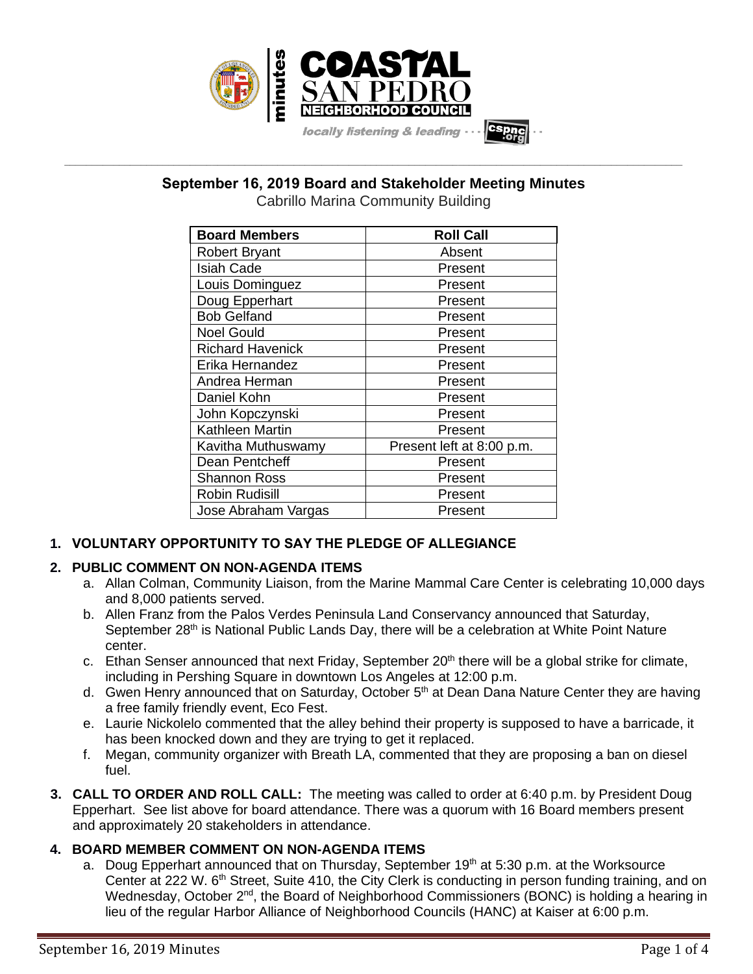

# **\_\_\_\_\_\_\_\_\_\_\_\_\_\_\_\_\_\_\_\_\_\_\_\_\_\_\_\_\_\_\_\_\_\_\_\_\_\_\_\_\_\_\_\_\_\_\_\_\_\_\_\_\_\_\_\_\_\_\_\_\_\_\_\_\_\_\_\_\_\_\_\_\_\_\_\_\_\_\_\_\_\_\_\_\_\_\_\_\_\_\_\_\_\_\_\_\_\_\_\_\_\_\_\_\_\_\_\_\_\_\_\_\_ September 16, 2019 Board and Stakeholder Meeting Minutes**

Cabrillo Marina Community Building

| <b>Board Members</b>    | <b>Roll Call</b>          |
|-------------------------|---------------------------|
| <b>Robert Bryant</b>    | Absent                    |
| <b>Isiah Cade</b>       | Present                   |
| Louis Dominguez         | Present                   |
| Doug Epperhart          | Present                   |
| <b>Bob Gelfand</b>      | Present                   |
| <b>Noel Gould</b>       | Present                   |
| <b>Richard Havenick</b> | Present                   |
| Erika Hernandez         | Present                   |
| Andrea Herman           | Present                   |
| Daniel Kohn             | Present                   |
| John Kopczynski         | Present                   |
| <b>Kathleen Martin</b>  | Present                   |
| Kavitha Muthuswamy      | Present left at 8:00 p.m. |
| Dean Pentcheff          | Present                   |
| <b>Shannon Ross</b>     | Present                   |
| <b>Robin Rudisill</b>   | Present                   |
| Jose Abraham Vargas     | Present                   |

## **1. VOLUNTARY OPPORTUNITY TO SAY THE PLEDGE OF ALLEGIANCE**

## **2. PUBLIC COMMENT ON NON-AGENDA ITEMS**

- a. Allan Colman, Community Liaison, from the Marine Mammal Care Center is celebrating 10,000 days and 8,000 patients served.
- b. Allen Franz from the Palos Verdes Peninsula Land Conservancy announced that Saturday, September 28<sup>th</sup> is National Public Lands Day, there will be a celebration at White Point Nature center.
- c. Ethan Senser announced that next Friday, September  $20<sup>th</sup>$  there will be a global strike for climate, including in Pershing Square in downtown Los Angeles at 12:00 p.m.
- d. Gwen Henry announced that on Saturday, October 5<sup>th</sup> at Dean Dana Nature Center they are having a free family friendly event, Eco Fest.
- e. Laurie Nickolelo commented that the alley behind their property is supposed to have a barricade, it has been knocked down and they are trying to get it replaced.
- f. Megan, community organizer with Breath LA, commented that they are proposing a ban on diesel fuel.
- **3. CALL TO ORDER AND ROLL CALL:** The meeting was called to order at 6:40 p.m. by President Doug Epperhart. See list above for board attendance. There was a quorum with 16 Board members present and approximately 20 stakeholders in attendance.

## **4. BOARD MEMBER COMMENT ON NON-AGENDA ITEMS**

a. Doug Epperhart announced that on Thursday, September 19<sup>th</sup> at 5:30 p.m. at the Worksource Center at 222 W. 6<sup>th</sup> Street, Suite 410, the City Clerk is conducting in person funding training, and on Wednesday, October 2<sup>nd</sup>, the Board of Neighborhood Commissioners (BONC) is holding a hearing in lieu of the regular Harbor Alliance of Neighborhood Councils (HANC) at Kaiser at 6:00 p.m.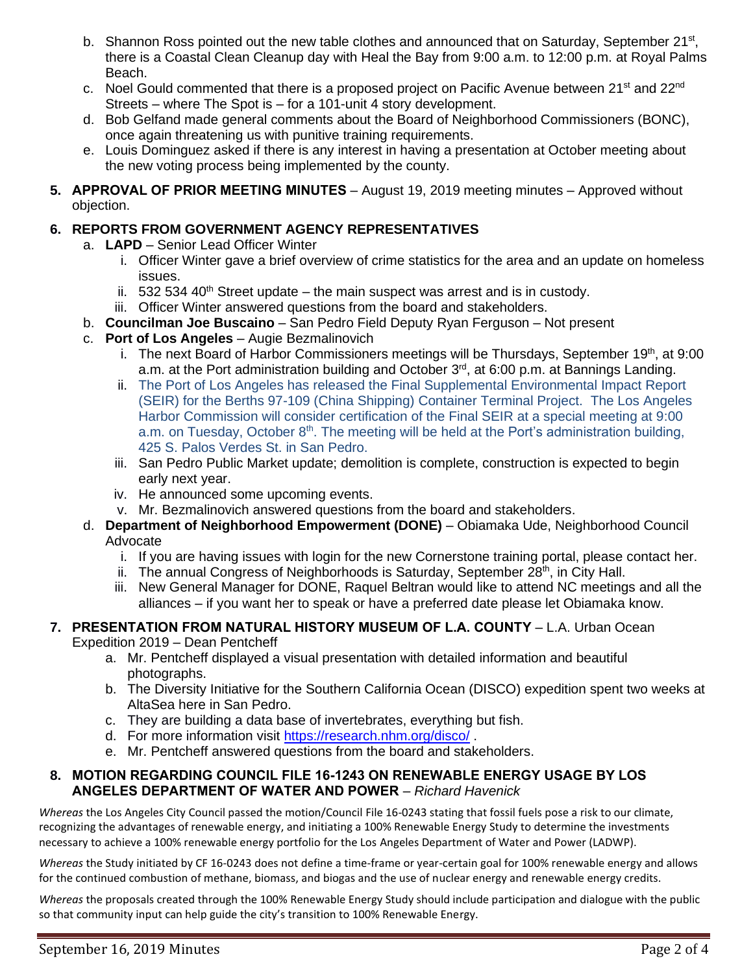- b. Shannon Ross pointed out the new table clothes and announced that on Saturday, September 21<sup>st</sup>, there is a Coastal Clean Cleanup day with Heal the Bay from 9:00 a.m. to 12:00 p.m. at Royal Palms Beach.
- c. Noel Gould commented that there is a proposed project on Pacific Avenue between 21<sup>st</sup> and 22<sup>nd</sup> Streets – where The Spot is – for a 101-unit 4 story development.
- d. Bob Gelfand made general comments about the Board of Neighborhood Commissioners (BONC), once again threatening us with punitive training requirements.
- e. Louis Dominguez asked if there is any interest in having a presentation at October meeting about the new voting process being implemented by the county.
- **5. APPROVAL OF PRIOR MEETING MINUTES** August 19, 2019 meeting minutes Approved without objection.

## **6. REPORTS FROM GOVERNMENT AGENCY REPRESENTATIVES**

- a. **LAPD**  Senior Lead Officer Winter
	- i. Officer Winter gave a brief overview of crime statistics for the area and an update on homeless issues.
	- ii.  $532\,534\,40^{\text{th}}$  Street update the main suspect was arrest and is in custody.
	- iii. Officer Winter answered questions from the board and stakeholders.
- b. **Councilman Joe Buscaino** San Pedro Field Deputy Ryan Ferguson Not present
- c. **Port of Los Angeles** Augie Bezmalinovich
	- i. The next Board of Harbor Commissioners meetings will be Thursdays, September 19<sup>th</sup>, at 9:00 a.m. at the Port administration building and October 3<sup>rd</sup>, at 6:00 p.m. at Bannings Landing.
	- ii. The Port of Los Angeles has released the Final Supplemental Environmental Impact Report (SEIR) for the Berths 97-109 (China Shipping) Container Terminal Project. The Los Angeles Harbor Commission will consider certification of the Final SEIR at a special meeting at 9:00 a.m. on Tuesday, October  $8<sup>th</sup>$ . The meeting will be held at the Port's administration building, 425 S. Palos Verdes St. in San Pedro.
	- iii. San Pedro Public Market update; demolition is complete, construction is expected to begin early next year.
	- iv. He announced some upcoming events.
	- v. Mr. Bezmalinovich answered questions from the board and stakeholders.
- d. **Department of Neighborhood Empowerment (DONE)** Obiamaka Ude, Neighborhood Council Advocate
	- i. If you are having issues with login for the new Cornerstone training portal, please contact her.
	- ii. The annual Congress of Neighborhoods is Saturday, September  $28<sup>th</sup>$ , in City Hall.
	- iii. New General Manager for DONE, Raquel Beltran would like to attend NC meetings and all the alliances – if you want her to speak or have a preferred date please let Obiamaka know.

#### **7. PRESENTATION FROM NATURAL HISTORY MUSEUM OF L.A. COUNTY** – L.A. Urban Ocean Expedition 2019 – Dean Pentcheff

- a. Mr. Pentcheff displayed a visual presentation with detailed information and beautiful photographs.
- b. The Diversity Initiative for the Southern California Ocean (DISCO) expedition spent two weeks at AltaSea here in San Pedro.
- c. They are building a data base of invertebrates, everything but fish.
- d. For more information visit<https://research.nhm.org/disco/> .
- e. Mr. Pentcheff answered questions from the board and stakeholders.

#### **8. MOTION REGARDING COUNCIL FILE 16-1243 ON RENEWABLE ENERGY USAGE BY LOS ANGELES DEPARTMENT OF WATER AND POWER** – *Richard Havenick*

*Whereas* the Los Angeles City Council passed the motion/Council File 16-0243 stating that fossil fuels pose a risk to our climate, recognizing the advantages of renewable energy, and initiating a 100% Renewable Energy Study to determine the investments necessary to achieve a 100% renewable energy portfolio for the Los Angeles Department of Water and Power (LADWP).

*Whereas* the Study initiated by CF 16-0243 does not define a time-frame or year-certain goal for 100% renewable energy and allows for the continued combustion of methane, biomass, and biogas and the use of nuclear energy and renewable energy credits.

*Whereas* the proposals created through the 100% Renewable Energy Study should include participation and dialogue with the public so that community input can help guide the city's transition to 100% Renewable Energy.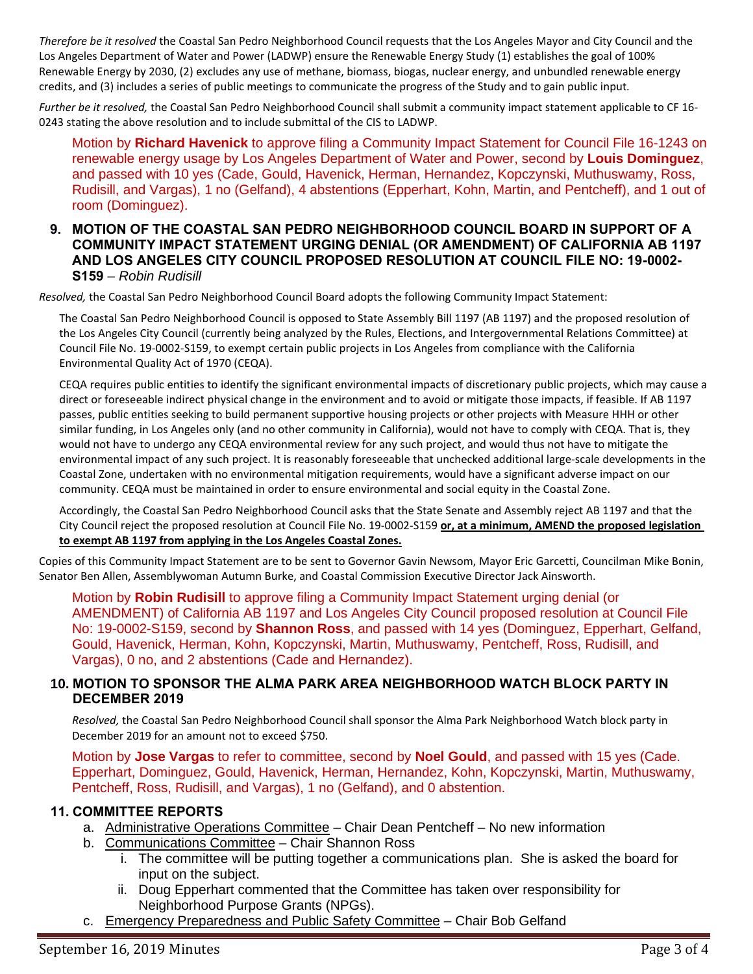*Therefore be it resolved* the Coastal San Pedro Neighborhood Council requests that the Los Angeles Mayor and City Council and the Los Angeles Department of Water and Power (LADWP) ensure the Renewable Energy Study (1) establishes the goal of 100% Renewable Energy by 2030, (2) excludes any use of methane, biomass, biogas, nuclear energy, and unbundled renewable energy credits, and (3) includes a series of public meetings to communicate the progress of the Study and to gain public input.

*Further be it resolved,* the Coastal San Pedro Neighborhood Council shall submit a community impact statement applicable to CF 16- 0243 stating the above resolution and to include submittal of the CIS to LADWP.

Motion by **Richard Havenick** to approve filing a Community Impact Statement for Council File 16-1243 on renewable energy usage by Los Angeles Department of Water and Power, second by **Louis Dominguez**, and passed with 10 yes (Cade, Gould, Havenick, Herman, Hernandez, Kopczynski, Muthuswamy, Ross, Rudisill, and Vargas), 1 no (Gelfand), 4 abstentions (Epperhart, Kohn, Martin, and Pentcheff), and 1 out of room (Dominguez).

#### **9. MOTION OF THE COASTAL SAN PEDRO NEIGHBORHOOD COUNCIL BOARD IN SUPPORT OF A COMMUNITY IMPACT STATEMENT URGING DENIAL (OR AMENDMENT) OF CALIFORNIA AB 1197 AND LOS ANGELES CITY COUNCIL PROPOSED RESOLUTION AT COUNCIL FILE NO: 19-0002- S159** – *Robin Rudisill*

*Resolved,* the Coastal San Pedro Neighborhood Council Board adopts the following Community Impact Statement:

The Coastal San Pedro Neighborhood Council is opposed to State Assembly Bill 1197 (AB 1197) and the proposed resolution of the Los Angeles City Council (currently being analyzed by the Rules, Elections, and Intergovernmental Relations Committee) at Council File No. 19-0002-S159, to exempt certain public projects in Los Angeles from compliance with the California Environmental Quality Act of 1970 (CEQA).

CEQA requires public entities to identify the significant environmental impacts of discretionary public projects, which may cause a direct or foreseeable indirect physical change in the environment and to avoid or mitigate those impacts, if feasible. If AB 1197 passes, public entities seeking to build permanent supportive housing projects or other projects with Measure HHH or other similar funding, in Los Angeles only (and no other community in California), would not have to comply with CEQA. That is, they would not have to undergo any CEQA environmental review for any such project, and would thus not have to mitigate the environmental impact of any such project. It is reasonably foreseeable that unchecked additional large-scale developments in the Coastal Zone, undertaken with no environmental mitigation requirements, would have a significant adverse impact on our community. CEQA must be maintained in order to ensure environmental and social equity in the Coastal Zone.

Accordingly, the Coastal San Pedro Neighborhood Council asks that the State Senate and Assembly reject AB 1197 and that the City Council reject the proposed resolution at Council File No. 19-0002-S159 **or, at a minimum, AMEND the proposed legislation to exempt AB 1197 from applying in the Los Angeles Coastal Zones.**

Copies of this Community Impact Statement are to be sent to Governor Gavin Newsom, Mayor Eric Garcetti, Councilman Mike Bonin, Senator Ben Allen, Assemblywoman Autumn Burke, and Coastal Commission Executive Director Jack Ainsworth.

Motion by **Robin Rudisill** to approve filing a Community Impact Statement urging denial (or AMENDMENT) of California AB 1197 and Los Angeles City Council proposed resolution at Council File No: 19-0002-S159, second by **Shannon Ross**, and passed with 14 yes (Dominguez, Epperhart, Gelfand, Gould, Havenick, Herman, Kohn, Kopczynski, Martin, Muthuswamy, Pentcheff, Ross, Rudisill, and Vargas), 0 no, and 2 abstentions (Cade and Hernandez).

#### **10. MOTION TO SPONSOR THE ALMA PARK AREA NEIGHBORHOOD WATCH BLOCK PARTY IN DECEMBER 2019**

*Resolved,* the Coastal San Pedro Neighborhood Council shall sponsor the Alma Park Neighborhood Watch block party in December 2019 for an amount not to exceed \$750.

Motion by **Jose Vargas** to refer to committee, second by **Noel Gould**, and passed with 15 yes (Cade. Epperhart, Dominguez, Gould, Havenick, Herman, Hernandez, Kohn, Kopczynski, Martin, Muthuswamy, Pentcheff, Ross, Rudisill, and Vargas), 1 no (Gelfand), and 0 abstention.

#### **11. COMMITTEE REPORTS**

- a. Administrative Operations Committee Chair Dean Pentcheff No new information
- b. Communications Committee Chair Shannon Ross
	- i. The committee will be putting together a communications plan. She is asked the board for input on the subject.
	- ii. Doug Epperhart commented that the Committee has taken over responsibility for Neighborhood Purpose Grants (NPGs).
- c. Emergency Preparedness and Public Safety Committee Chair Bob Gelfand